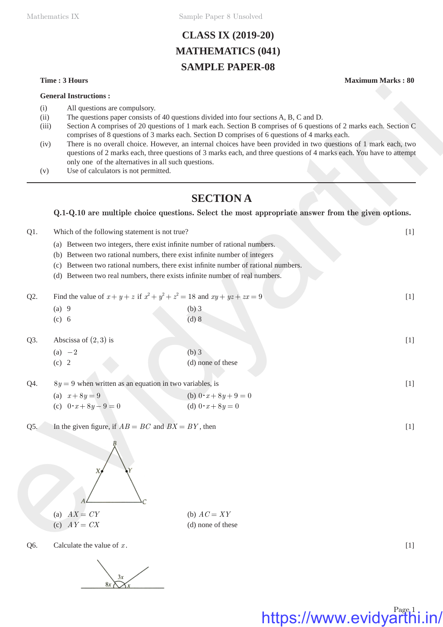Mathematics IX Sample Paper 8 Unsolved

# **CLASS IX (2019-20) MATHEMATICS (041) SAMPLE PAPER-08**

#### **Time : 3 Hours Maximum Marks : 80**

**General Instructions :**

- (i) All questions are compulsory.
- (ii) The questions paper consists of 40 questions divided into four sections A, B, C and D.
- (iii) Section A comprises of 20 questions of 1 mark each. Section B comprises of 6 questions of 2 marks each. Section C comprises of 8 questions of 3 marks each. Section D comprises of 6 questions of 4 marks each.
- (iv) There is no overall choice. However, an internal choices have been provided in two questions of 1 mark each, two questions of 2 marks each, three questions of 3 marks each, and three questions of 4 marks each. You have to attempt only one of the alternatives in all such questions.
- (v) Use of calculators is not permitted.

# **SECTION A**

### **Q.1-Q.10 are multiple choice questions. Select the most appropriate answer from the given options.**

- Q1. Which of the following statement is not true? [1]
	- (a) Between two integers, there exist infinite number of rational numbers.
	- (b) Between two rational numbers, there exist infinite number of integers
	- (c) Between two rational numbers, there exist infinite number of rational numbers.
	- (d) Between two real numbers, there exists infinite number of real numbers.

| Q2. | Find the value of $x+y+z$ if $x^2+y^2+z^2=18$ and $xy+yz+zx=9$ |       | $\frac{1}{2}$ |
|-----|----------------------------------------------------------------|-------|---------------|
|     | (a)                                                            | (b) 3 |               |
|     | (c)                                                            | (d) 8 |               |

- Q3. Abscissa of  $(2,3)$  is [1]
	- (a)  $-2$  (b) 3 (c) 2 (d) none of these
- $Q4. \qquad 8y = 9$  when written as an equation in two variables, is [1]

| (a) $x+8y=9$                 | (b) $0 \cdot x + 8y + 9 = 0$ |
|------------------------------|------------------------------|
| (c) $0 \cdot x + 8y - 9 = 0$ | (d) $0 \cdot x + 8y = 0$     |

Q5. In the given figure, if  $AB = BC$  and  $BX = BY$ , then [1]



Q6. Calculate the value of  $x$ .  $[1]$ 

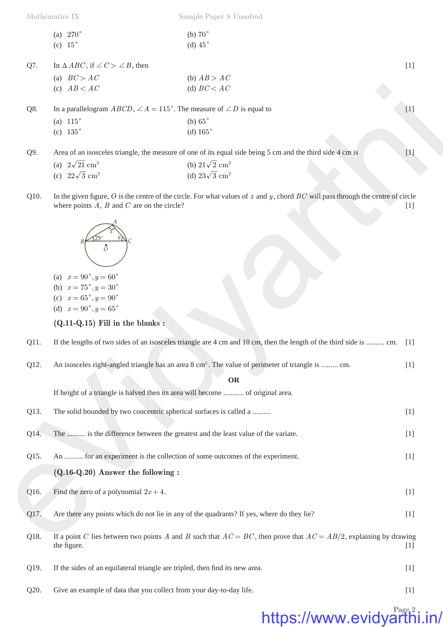Mathematics IX Sample Paper 8 Unsolved

| (a) $270^{\circ}$ | (b) $70^\circ$ |
|-------------------|----------------|
| (c) $15^{\circ}$  | (d) $45^\circ$ |

Q7. In  $\triangle ABC$ , if  $\angle C > \angle B$ , then [1]

| (a) $BC > AC$ | (b) $AB > AC$ |
|---------------|---------------|
| (c) $AB < AC$ | (d) $BC < AC$ |

| (a) $2\sqrt{21}$ cm <sup>2</sup> | (b) $21\sqrt{2}$ cm <sup>2</sup> |
|----------------------------------|----------------------------------|
| (c) $22\sqrt{3}$ cm <sup>2</sup> | (d) $23\sqrt{3}$ cm <sup>2</sup> |



- (a)  $x = 90^{\circ}, y = 60^{\circ}$
- (b)  $x = 75^{\circ}, y = 30^{\circ}$
- (c)  $x = 65^\circ, y = 90^\circ$
- (d)  $x = 90^{\circ}, y = 65^{\circ}$

- Q11. If the lengths of two sides of an isosceles triangle are 4 cm and 10 cm, then the length of the third side is .......... cm. [1]
- Q12. An isosceles right-angled triangle has an area 8 cm<sup>2</sup>. The value of perimeter of triangle is ......... cm. [1]

|      | (c) $AB < AC$                                                                                                                                                | (d) $BC < AC$                                                                                                                            |       |
|------|--------------------------------------------------------------------------------------------------------------------------------------------------------------|------------------------------------------------------------------------------------------------------------------------------------------|-------|
| Q8.  | In a parallelogram $ABCD$ , $\angle A = 115^\circ$ . The measure of $\angle D$ is equal to                                                                   |                                                                                                                                          | $[1]$ |
|      | (a) $115^\circ$                                                                                                                                              | (b) $65^\circ$                                                                                                                           |       |
|      | (c) $135^{\circ}$                                                                                                                                            | (d) $165^\circ$                                                                                                                          |       |
|      |                                                                                                                                                              |                                                                                                                                          |       |
| Q9.  |                                                                                                                                                              | Area of an isosceles triangle, the measure of one of its equal side being 5 cm and the third side 4 cm is                                | $[1]$ |
|      | (a) $2\sqrt{21}$ cm <sup>2</sup>                                                                                                                             | (b) $21\sqrt{2}$ cm <sup>2</sup>                                                                                                         |       |
|      | (c) $22\sqrt{3}$ cm <sup>2</sup>                                                                                                                             | (d) $23\sqrt{3}$ cm <sup>2</sup>                                                                                                         |       |
| Q10. | where points $A$ , $B$ and $C$ are on the circle?                                                                                                            | In the given figure, $O$ is the centre of the circle. For what values of $x$ and $y$ , chord $BC$ will pass through the centre of circle | $[1]$ |
|      | (a) $x = 90^{\circ}, y = 60^{\circ}$<br>(b) $x = 75^{\circ}, y = 30^{\circ}$<br>(c) $x = 65^{\circ}, y = 90^{\circ}$<br>(d) $x = 90^{\circ}, y = 65^{\circ}$ |                                                                                                                                          |       |
|      | $(Q.11-Q.15)$ Fill in the blanks:                                                                                                                            |                                                                                                                                          |       |
| Q11. |                                                                                                                                                              | If the lengths of two sides of an isosceles triangle are 4 cm and 10 cm, then the length of the third side is  cm. [1]                   |       |
| Q12. |                                                                                                                                                              | An isosceles right-angled triangle has an area 8 cm <sup>2</sup> . The value of perimeter of triangle is  cm.                            | $[1]$ |
|      |                                                                                                                                                              | <b>OR</b>                                                                                                                                |       |
|      | If height of a triangle is halved then its area will become  of original area.                                                                               |                                                                                                                                          |       |
|      |                                                                                                                                                              |                                                                                                                                          |       |
| Q13. | The solid bounded by two concentric spherical surfaces is called a                                                                                           |                                                                                                                                          | $[1]$ |
| Q14. | The  is the difference between the greatest and the least value of the variate.                                                                              |                                                                                                                                          | $[1]$ |
|      |                                                                                                                                                              |                                                                                                                                          |       |
| Q15. | An  for an experiment is the collection of some outcomes of the experiment.                                                                                  |                                                                                                                                          | $[1]$ |
|      | $(Q.16-Q.20)$ Answer the following :                                                                                                                         |                                                                                                                                          |       |
| Q16. | Find the zero of a polynomial $2x + 4$ .                                                                                                                     |                                                                                                                                          | $[1]$ |
|      |                                                                                                                                                              |                                                                                                                                          |       |
| Q17. |                                                                                                                                                              | Are there any points which do not lie in any of the quadrants? If yes, where do they lie?                                                | $[1]$ |
|      |                                                                                                                                                              |                                                                                                                                          |       |
| Q18. |                                                                                                                                                              | If a point C lies between two points A and B such that $AC = BC$ , then prove that $AC = AB/2$ , explaining by drawing                   |       |
|      | the figure.                                                                                                                                                  |                                                                                                                                          | $[1]$ |
|      |                                                                                                                                                              |                                                                                                                                          |       |
| Q19. | If the sides of an equilateral triangle are tripled, then find its new area.                                                                                 |                                                                                                                                          | $[1]$ |
| Q20. | Give an example of data that you collect from your day-to-day life.                                                                                          |                                                                                                                                          | $[1]$ |
|      |                                                                                                                                                              |                                                                                                                                          |       |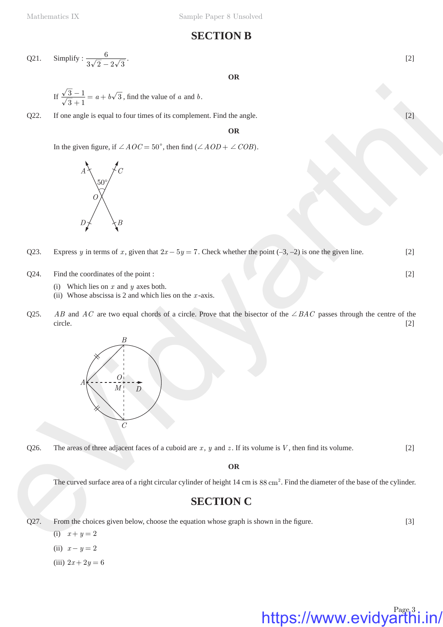# **SECTION B**

Q21. Simplify: 
$$
\frac{6}{3\sqrt{2} - 2\sqrt{3}}
$$
. [2]

### **OR**

If 
$$
\frac{\sqrt{3}-1}{\sqrt{3}+1} = a + b\sqrt{3}
$$
, find the value of a and b.

Q22. If one angle is equal to four times of its complement. Find the angle. [2]

#### **OR**

In the given figure, if  $\angle AOC = 50^{\circ}$ , then find  $(\angle AOD + \angle COB)$ .



Q23. Express *y* in terms of *x*, given that  $2x - 5y = 7$ . Check whether the point (–3, –2) is one the given line. [2]

- $Q24.$  Find the coordinates of the point : [2]
	- (i) Which lies on *x* and *y* axes both.
	- (ii) Whose abscissa is 2 and which lies on the *x* -axis.
- Q25. *AB* and *AC* are two equal chords of a circle. Prove that the bisector of the  $\angle BAC$  passes through the centre of the circle. [2]



Q26. The areas of three adjacent faces of a cuboid are  $x$ ,  $y$  and  $z$ . If its volume is  $V$ , then find its volume. [2]

**OR**

The curved surface area of a right circular cylinder of height  $14 \text{ cm}$  is  $88 \text{ cm}^2$ . Find the diameter of the base of the cylinder.

# **SECTION C**

 $Q27.$  From the choices given below, choose the equation whose graph is shown in the figure.  $[3]$ 

(i)  $x + y = 2$ (ii)  $x - y = 2$  $(iii)$  2x + 2y = 6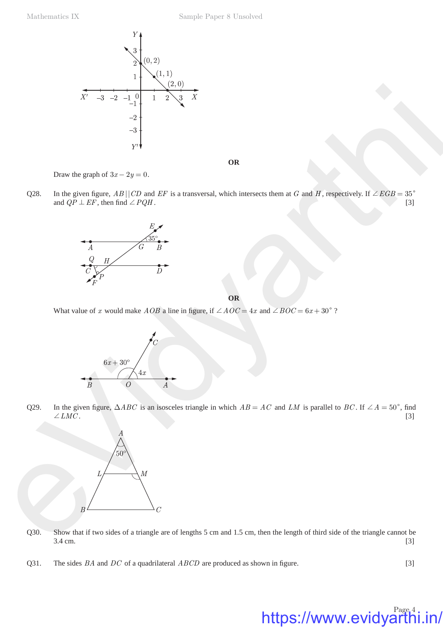

**OR**

Draw the graph of  $3x - 2y = 0$ .

Q28. In the given figure,  $AB \mid \text{CD}$  and *EF* is a transversal, which intersects them at *G* and *H*, respectively. If  $\angle EGB = 35^\circ$ and  $QP \perp EF$ , then find  $\angle PQH$ . [3]



**OR**

What value of *x* would make *AOB* a line in figure, if  $\angle AOC = 4x$  and  $\angle BOC = 6x + 30^{\circ}$ ?



Q29. In the given figure,  $\triangle ABC$  is an isosceles triangle in which  $AB = AC$  and *LM* is parallel to *BC*. If  $\angle A = 50^{\circ}$ , find  $\angle LMC$ . [3]  $\angle LMC$ . [3]



- Q30. Show that if two sides of a triangle are of lengths 5 cm and 1.5 cm, then the length of third side of the triangle cannot be  $3.4 \text{ cm.}$  [3]
- Q31. The sides *BA* and *DC* of a quadrilateral *ABCD* are produced as shown in figure. [3]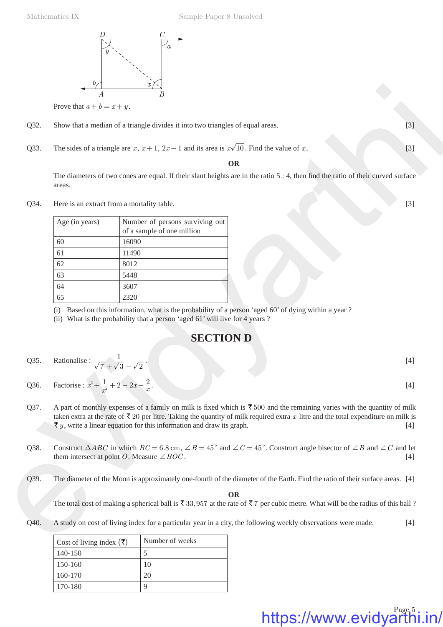

Prove that  $a + b = x + y$ .

- Q32. Show that a median of a triangle divides it into two triangles of equal areas. [3]
- Q33. The sides of a triangle are  $x$ ,  $x + 1$ ,  $2x 1$  and its area is  $x\sqrt{10}$ . Find the value of  $x$ . [3]

### **OR**

|      | Prove that $a + b = x + y$ .                                                                                             |                                                                                                                                                                                                                                                                                                                                                                                |       |
|------|--------------------------------------------------------------------------------------------------------------------------|--------------------------------------------------------------------------------------------------------------------------------------------------------------------------------------------------------------------------------------------------------------------------------------------------------------------------------------------------------------------------------|-------|
| Q32. |                                                                                                                          | Show that a median of a triangle divides it into two triangles of equal areas.                                                                                                                                                                                                                                                                                                 | $[3]$ |
| Q33. |                                                                                                                          | The sides of a triangle are x, $x + 1$ , $2x - 1$ and its area is $x\sqrt{10}$ . Find the value of x.                                                                                                                                                                                                                                                                          | $[3]$ |
|      |                                                                                                                          | <b>OR</b>                                                                                                                                                                                                                                                                                                                                                                      |       |
|      | areas.                                                                                                                   | The diameters of two cones are equal. If their slant heights are in the ratio $5:4$ , then find the ratio of their curved surface                                                                                                                                                                                                                                              |       |
| Q34. |                                                                                                                          | Here is an extract from a mortality table.                                                                                                                                                                                                                                                                                                                                     | $[3]$ |
|      | Age (in years)                                                                                                           | Number of persons surviving out<br>of a sample of one million                                                                                                                                                                                                                                                                                                                  |       |
|      | 60                                                                                                                       | 16090                                                                                                                                                                                                                                                                                                                                                                          |       |
|      | 61                                                                                                                       | 11490                                                                                                                                                                                                                                                                                                                                                                          |       |
|      | 62                                                                                                                       | 8012                                                                                                                                                                                                                                                                                                                                                                           |       |
|      | 63                                                                                                                       | 5448                                                                                                                                                                                                                                                                                                                                                                           |       |
|      | 64                                                                                                                       | 3607                                                                                                                                                                                                                                                                                                                                                                           |       |
|      | 65                                                                                                                       | 2320                                                                                                                                                                                                                                                                                                                                                                           |       |
|      |                                                                                                                          | <b>SECTION D</b>                                                                                                                                                                                                                                                                                                                                                               |       |
| Q35. | Rationalise : $\frac{1}{\sqrt{7} + \sqrt{3} - \sqrt{2}}$ .<br>Factorise : $x^2 + \frac{1}{x^2} + 2 - 2x - \frac{2}{x}$ . |                                                                                                                                                                                                                                                                                                                                                                                | $[4]$ |
| Q36. |                                                                                                                          |                                                                                                                                                                                                                                                                                                                                                                                | $[4]$ |
| Q37. |                                                                                                                          | A part of monthly expenses of a family on milk is fixed which is $\bar{\tau}$ 500 and the remaining varies with the quantity of milk<br>taken extra at the rate of $\bar{\tau}$ 20 per litre. Taking the quantity of milk required extra x litre and the total expenditure on milk is<br>$\overline{\tau}$ y, write a linear equation for this information and draw its graph. | $[4]$ |
| Q38. |                                                                                                                          | Construct $\triangle ABC$ in which $BC = 6.8$ cm, $\angle B = 45^{\circ}$ and $\angle C = 45^{\circ}$ . Construct angle bisector of $\angle B$ and $\angle C$ and let<br>them intersect at point <i>O</i> . Measure $\angle BOC$ .                                                                                                                                             | $[4]$ |
| Q39. |                                                                                                                          | The diameter of the Moon is approximately one-fourth of the diameter of the Earth. Find the ratio of their surface areas. [4]                                                                                                                                                                                                                                                  |       |
|      |                                                                                                                          | <b>OR</b><br>The total cost of making a spherical ball is $\bar{\xi}$ 33,957 at the rate of $\bar{\xi}$ 7 per cubic metre. What will be the radius of this ball ?                                                                                                                                                                                                              |       |
| Q40. |                                                                                                                          | A study on cost of living index for a particular year in a city, the following weekly observations were made.                                                                                                                                                                                                                                                                  | $[4]$ |
|      | Cost of living index $(\bar{\tau})$                                                                                      | Number of weeks                                                                                                                                                                                                                                                                                                                                                                |       |

## **SECTION D**

- Q35. Rationalise :  $\frac{1}{\sqrt{7} + \sqrt{3} \sqrt{2}}$ . [4]
- Q36. Factorise :  $x^2 + \frac{1}{x^2} + 2 2x \frac{2}{x}$ . [4]
- Q37. A part of monthly expenses of a family on milk is fixed which is  $\overline{5}$  500 and the remaining varies with the quantity of milk taken extra at the rate of  $\bar{\tau}$  20 per litre. Taking the quantity of milk required extra *x* litre and the total expenditure on milk is  $\bar{\tau}_y$ , write a linear equation for this information and draw its graph. [4]
- Q38. Construct  $\triangle ABC$  in which  $BC = 6.8$  cm,  $\angle B = 45^{\circ}$  and  $\angle C = 45^{\circ}$ . Construct angle bisector of  $\angle B$  and  $\angle C$  and let them intersect at point *O*. Measure  $\angle BOC$ . [4]

| Number of weeks |
|-----------------|
|                 |
| 10              |
| 20              |
| 9               |
|                 |